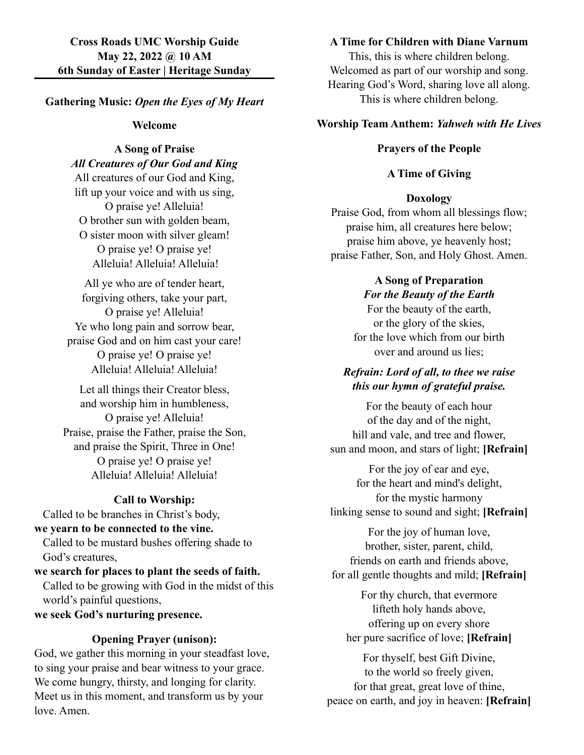#### **Gathering Music:** *Open the Eyes of My Heart*

#### **Welcome**

### **A Song of Praise** *All Creatures of Our God and King*

All creatures of our God and King, lift up your voice and with us sing, O praise ye! Alleluia! O brother sun with golden beam, O sister moon with silver gleam! O praise ye! O praise ye! Alleluia! Alleluia! Alleluia!

All ye who are of tender heart, forgiving others, take your part, O praise ye! Alleluia! Ye who long pain and sorrow bear, praise God and on him cast your care! O praise ye! O praise ye! Alleluia! Alleluia! Alleluia!

Let all things their Creator bless, and worship him in humbleness, O praise ye! Alleluia! Praise, praise the Father, praise the Son, and praise the Spirit, Three in One! O praise ye! O praise ye! Alleluia! Alleluia! Alleluia!

#### **Call to Worship:**

Called to be branches in Christ's body,

# **we yearn to be connected to the vine.**

Called to be mustard bushes offering shade to God's creatures,

# **we search for places to plant the seeds of faith.** Called to be growing with God in the midst of this world's painful questions,

**we seek God's nurturing presence.**

#### **Opening Prayer (unison):**

God, we gather this morning in your steadfast love, to sing your praise and bear witness to your grace. We come hungry, thirsty, and longing for clarity. Meet us in this moment, and transform us by your love. Amen.

## **A Time for Children with Diane Varnum**

This, this is where children belong. Welcomed as part of our worship and song. Hearing God's Word, sharing love all along. This is where children belong.

#### **Worship Team Anthem:** *Yahweh with He Lives*

### **Prayers of the People**

### **A Time of Giving**

#### **Doxology**

Praise God, from whom all blessings flow; praise him, all creatures here below; praise him above, ye heavenly host; praise Father, Son, and Holy Ghost. Amen.

#### **A Song of Preparation** *For the Beauty of the Earth*

For the beauty of the earth, or the glory of the skies, for the love which from our birth over and around us lies;

### *Refrain: Lord of all, to thee we raise this our hymn of grateful praise.*

For the beauty of each hour of the day and of the night, hill and vale, and tree and flower, sun and moon, and stars of light; **[Refrain]**

For the joy of ear and eye, for the heart and mind's delight, for the mystic harmony linking sense to sound and sight; **[Refrain]**

For the joy of human love, brother, sister, parent, child, friends on earth and friends above, for all gentle thoughts and mild; **[Refrain]**

For thy church, that evermore lifteth holy hands above, offering up on every shore her pure sacrifice of love; **[Refrain]**

For thyself, best Gift Divine, to the world so freely given, for that great, great love of thine, peace on earth, and joy in heaven: **[Refrain]**